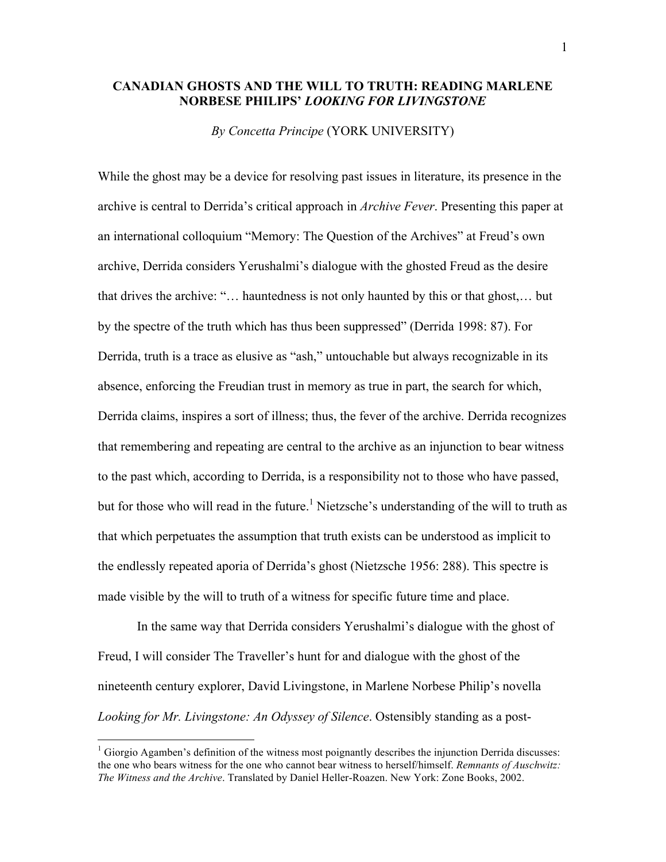## **CANADIAN GHOSTS AND THE WILL TO TRUTH: READING MARLENE NORBESE PHILIPS'** *LOOKING FOR LIVINGSTONE*

*By Concetta Principe* (YORK UNIVERSITY)

While the ghost may be a device for resolving past issues in literature, its presence in the archive is central to Derrida's critical approach in *Archive Fever*. Presenting this paper at an international colloquium "Memory: The Question of the Archives" at Freud's own archive, Derrida considers Yerushalmi's dialogue with the ghosted Freud as the desire that drives the archive: "… hauntedness is not only haunted by this or that ghost,… but by the spectre of the truth which has thus been suppressed" (Derrida 1998: 87). For Derrida, truth is a trace as elusive as "ash," untouchable but always recognizable in its absence, enforcing the Freudian trust in memory as true in part, the search for which, Derrida claims, inspires a sort of illness; thus, the fever of the archive. Derrida recognizes that remembering and repeating are central to the archive as an injunction to bear witness to the past which, according to Derrida, is a responsibility not to those who have passed, but for those who will read in the future.<sup>1</sup> Nietzsche's understanding of the will to truth as that which perpetuates the assumption that truth exists can be understood as implicit to the endlessly repeated aporia of Derrida's ghost (Nietzsche 1956: 288). This spectre is made visible by the will to truth of a witness for specific future time and place.

In the same way that Derrida considers Yerushalmi's dialogue with the ghost of Freud, I will consider The Traveller's hunt for and dialogue with the ghost of the nineteenth century explorer, David Livingstone, in Marlene Norbese Philip's novella *Looking for Mr. Livingstone: An Odyssey of Silence*. Ostensibly standing as a post-

<sup>&</sup>lt;sup>1</sup> Giorgio Agamben's definition of the witness most poignantly describes the injunction Derrida discusses: the one who bears witness for the one who cannot bear witness to herself/himself. *Remnants of Auschwitz: The Witness and the Archive*. Translated by Daniel Heller-Roazen. New York: Zone Books, 2002.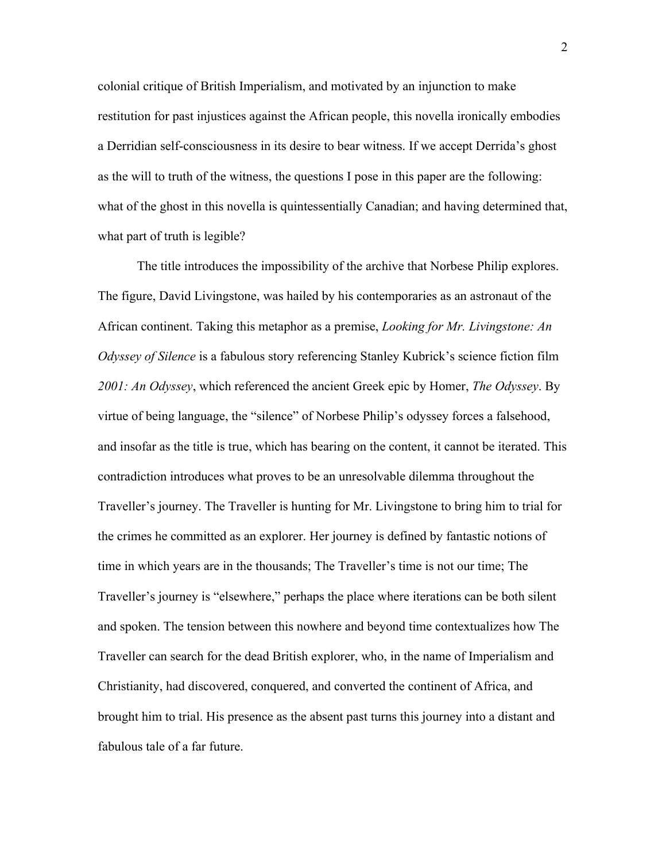colonial critique of British Imperialism, and motivated by an injunction to make restitution for past injustices against the African people, this novella ironically embodies a Derridian self-consciousness in its desire to bear witness. If we accept Derrida's ghost as the will to truth of the witness, the questions I pose in this paper are the following: what of the ghost in this novella is quintessentially Canadian; and having determined that, what part of truth is legible?

The title introduces the impossibility of the archive that Norbese Philip explores. The figure, David Livingstone, was hailed by his contemporaries as an astronaut of the African continent. Taking this metaphor as a premise, *Looking for Mr. Livingstone: An Odyssey of Silence* is a fabulous story referencing Stanley Kubrick's science fiction film *2001: An Odyssey*, which referenced the ancient Greek epic by Homer, *The Odyssey*. By virtue of being language, the "silence" of Norbese Philip's odyssey forces a falsehood, and insofar as the title is true, which has bearing on the content, it cannot be iterated. This contradiction introduces what proves to be an unresolvable dilemma throughout the Traveller's journey. The Traveller is hunting for Mr. Livingstone to bring him to trial for the crimes he committed as an explorer. Her journey is defined by fantastic notions of time in which years are in the thousands; The Traveller's time is not our time; The Traveller's journey is "elsewhere," perhaps the place where iterations can be both silent and spoken. The tension between this nowhere and beyond time contextualizes how The Traveller can search for the dead British explorer, who, in the name of Imperialism and Christianity, had discovered, conquered, and converted the continent of Africa, and brought him to trial. His presence as the absent past turns this journey into a distant and fabulous tale of a far future.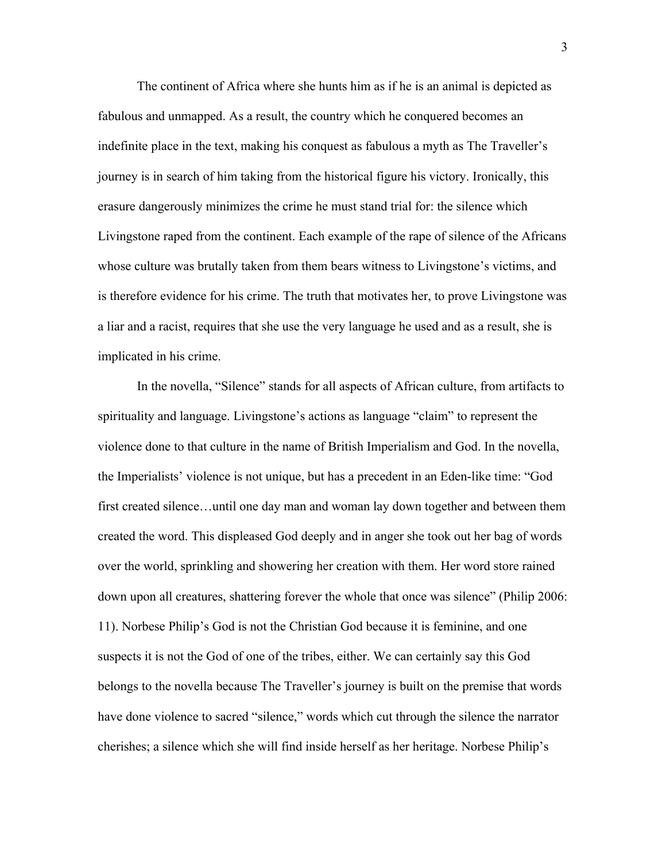The continent of Africa where she hunts him as if he is an animal is depicted as fabulous and unmapped. As a result, the country which he conquered becomes an indefinite place in the text, making his conquest as fabulous a myth as The Traveller's journey is in search of him taking from the historical figure his victory. Ironically, this erasure dangerously minimizes the crime he must stand trial for: the silence which Livingstone raped from the continent. Each example of the rape of silence of the Africans whose culture was brutally taken from them bears witness to Livingstone's victims, and is therefore evidence for his crime. The truth that motivates her, to prove Livingstone was a liar and a racist, requires that she use the very language he used and as a result, she is implicated in his crime.

In the novella, "Silence" stands for all aspects of African culture, from artifacts to spirituality and language. Livingstone's actions as language "claim" to represent the violence done to that culture in the name of British Imperialism and God. In the novella, the Imperialists' violence is not unique, but has a precedent in an Eden-like time: "God first created silence…until one day man and woman lay down together and between them created the word. This displeased God deeply and in anger she took out her bag of words over the world, sprinkling and showering her creation with them. Her word store rained down upon all creatures, shattering forever the whole that once was silence" (Philip 2006: 11). Norbese Philip's God is not the Christian God because it is feminine, and one suspects it is not the God of one of the tribes, either. We can certainly say this God belongs to the novella because The Traveller's journey is built on the premise that words have done violence to sacred "silence," words which cut through the silence the narrator cherishes; a silence which she will find inside herself as her heritage. Norbese Philip's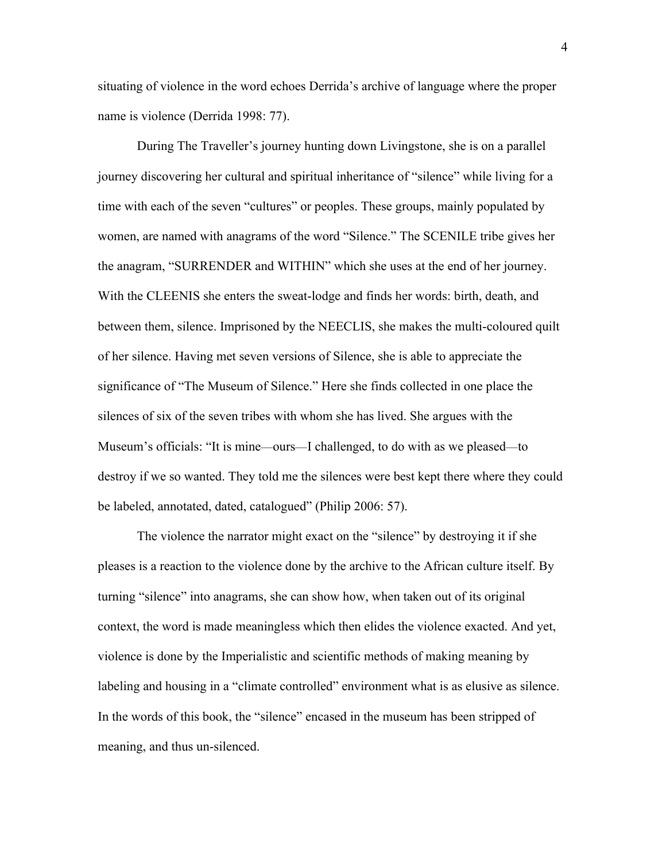situating of violence in the word echoes Derrida's archive of language where the proper name is violence (Derrida 1998: 77).

During The Traveller's journey hunting down Livingstone, she is on a parallel journey discovering her cultural and spiritual inheritance of "silence" while living for a time with each of the seven "cultures" or peoples. These groups, mainly populated by women, are named with anagrams of the word "Silence." The SCENILE tribe gives her the anagram, "SURRENDER and WITHIN" which she uses at the end of her journey. With the CLEENIS she enters the sweat-lodge and finds her words: birth, death, and between them, silence. Imprisoned by the NEECLIS, she makes the multi-coloured quilt of her silence. Having met seven versions of Silence, she is able to appreciate the significance of "The Museum of Silence." Here she finds collected in one place the silences of six of the seven tribes with whom she has lived. She argues with the Museum's officials: "It is mine—ours—I challenged, to do with as we pleased—to destroy if we so wanted. They told me the silences were best kept there where they could be labeled, annotated, dated, catalogued" (Philip 2006: 57).

The violence the narrator might exact on the "silence" by destroying it if she pleases is a reaction to the violence done by the archive to the African culture itself. By turning "silence" into anagrams, she can show how, when taken out of its original context, the word is made meaningless which then elides the violence exacted. And yet, violence is done by the Imperialistic and scientific methods of making meaning by labeling and housing in a "climate controlled" environment what is as elusive as silence. In the words of this book, the "silence" encased in the museum has been stripped of meaning, and thus un-silenced.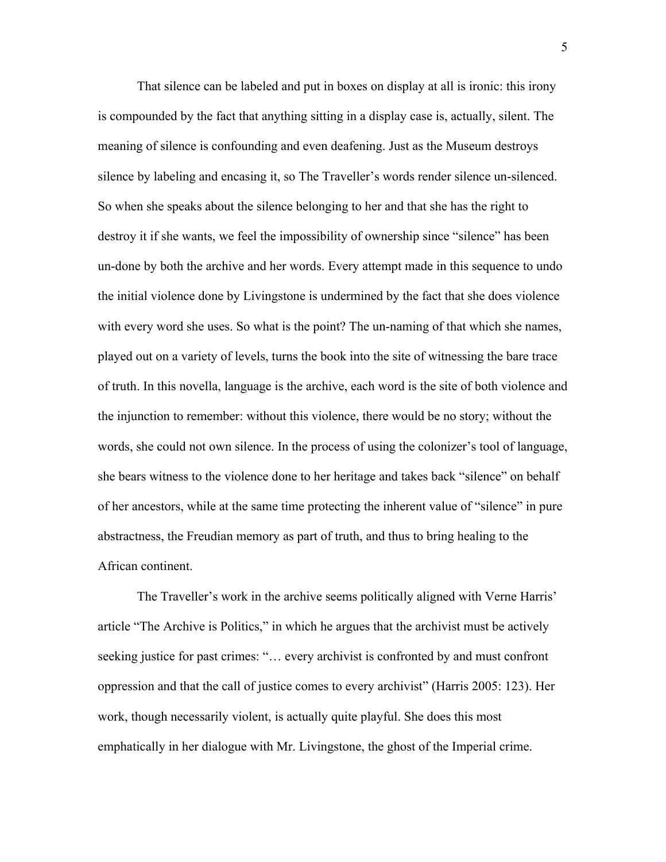That silence can be labeled and put in boxes on display at all is ironic: this irony is compounded by the fact that anything sitting in a display case is, actually, silent. The meaning of silence is confounding and even deafening. Just as the Museum destroys silence by labeling and encasing it, so The Traveller's words render silence un-silenced. So when she speaks about the silence belonging to her and that she has the right to destroy it if she wants, we feel the impossibility of ownership since "silence" has been un-done by both the archive and her words. Every attempt made in this sequence to undo the initial violence done by Livingstone is undermined by the fact that she does violence with every word she uses. So what is the point? The un-naming of that which she names, played out on a variety of levels, turns the book into the site of witnessing the bare trace of truth. In this novella, language is the archive, each word is the site of both violence and the injunction to remember: without this violence, there would be no story; without the words, she could not own silence. In the process of using the colonizer's tool of language, she bears witness to the violence done to her heritage and takes back "silence" on behalf of her ancestors, while at the same time protecting the inherent value of "silence" in pure abstractness, the Freudian memory as part of truth, and thus to bring healing to the African continent.

The Traveller's work in the archive seems politically aligned with Verne Harris' article "The Archive is Politics," in which he argues that the archivist must be actively seeking justice for past crimes: "… every archivist is confronted by and must confront oppression and that the call of justice comes to every archivist" (Harris 2005: 123). Her work, though necessarily violent, is actually quite playful. She does this most emphatically in her dialogue with Mr. Livingstone, the ghost of the Imperial crime.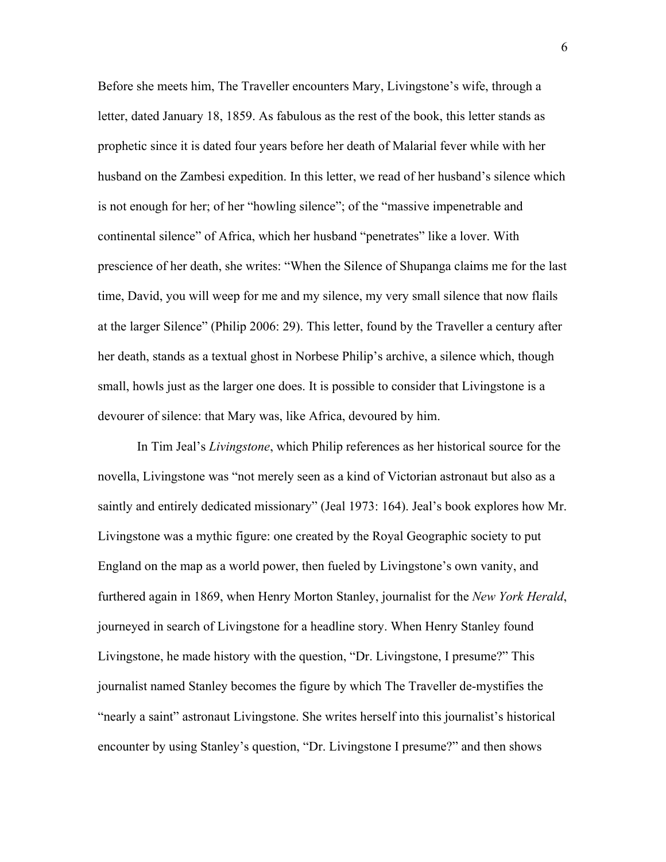Before she meets him, The Traveller encounters Mary, Livingstone's wife, through a letter, dated January 18, 1859. As fabulous as the rest of the book, this letter stands as prophetic since it is dated four years before her death of Malarial fever while with her husband on the Zambesi expedition. In this letter, we read of her husband's silence which is not enough for her; of her "howling silence"; of the "massive impenetrable and continental silence" of Africa, which her husband "penetrates" like a lover. With prescience of her death, she writes: "When the Silence of Shupanga claims me for the last time, David, you will weep for me and my silence, my very small silence that now flails at the larger Silence" (Philip 2006: 29). This letter, found by the Traveller a century after her death, stands as a textual ghost in Norbese Philip's archive, a silence which, though small, howls just as the larger one does. It is possible to consider that Livingstone is a devourer of silence: that Mary was, like Africa, devoured by him.

In Tim Jeal's *Livingstone*, which Philip references as her historical source for the novella, Livingstone was "not merely seen as a kind of Victorian astronaut but also as a saintly and entirely dedicated missionary" (Jeal 1973: 164). Jeal's book explores how Mr. Livingstone was a mythic figure: one created by the Royal Geographic society to put England on the map as a world power, then fueled by Livingstone's own vanity, and furthered again in 1869, when Henry Morton Stanley, journalist for the *New York Herald*, journeyed in search of Livingstone for a headline story. When Henry Stanley found Livingstone, he made history with the question, "Dr. Livingstone, I presume?" This journalist named Stanley becomes the figure by which The Traveller de-mystifies the "nearly a saint" astronaut Livingstone. She writes herself into this journalist's historical encounter by using Stanley's question, "Dr. Livingstone I presume?" and then shows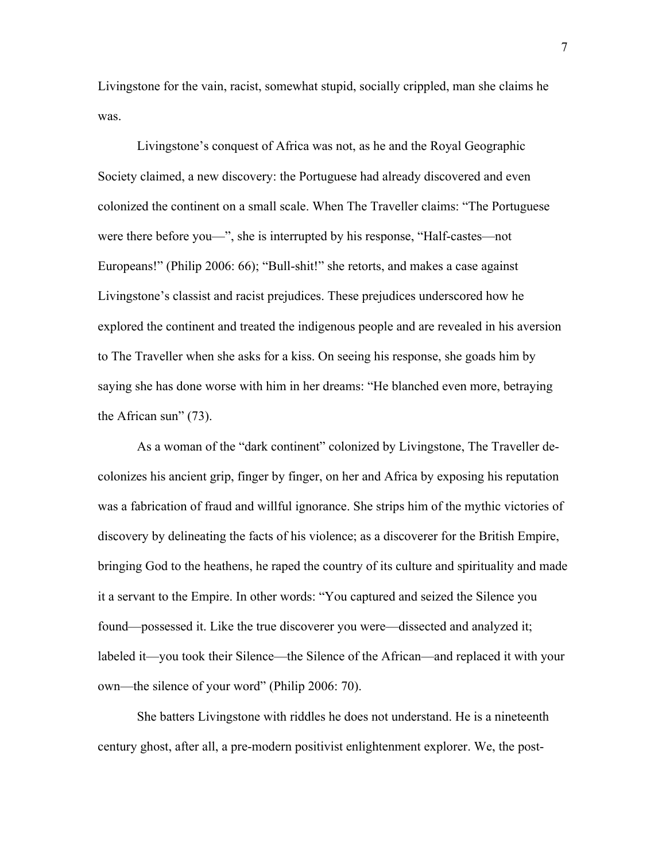Livingstone for the vain, racist, somewhat stupid, socially crippled, man she claims he was.

Livingstone's conquest of Africa was not, as he and the Royal Geographic Society claimed, a new discovery: the Portuguese had already discovered and even colonized the continent on a small scale. When The Traveller claims: "The Portuguese were there before you—", she is interrupted by his response, "Half-castes—not Europeans!" (Philip 2006: 66); "Bull-shit!" she retorts, and makes a case against Livingstone's classist and racist prejudices. These prejudices underscored how he explored the continent and treated the indigenous people and are revealed in his aversion to The Traveller when she asks for a kiss. On seeing his response, she goads him by saying she has done worse with him in her dreams: "He blanched even more, betraying the African sun" (73).

As a woman of the "dark continent" colonized by Livingstone, The Traveller decolonizes his ancient grip, finger by finger, on her and Africa by exposing his reputation was a fabrication of fraud and willful ignorance. She strips him of the mythic victories of discovery by delineating the facts of his violence; as a discoverer for the British Empire, bringing God to the heathens, he raped the country of its culture and spirituality and made it a servant to the Empire. In other words: "You captured and seized the Silence you found—possessed it. Like the true discoverer you were—dissected and analyzed it; labeled it—you took their Silence—the Silence of the African—and replaced it with your own—the silence of your word" (Philip 2006: 70).

She batters Livingstone with riddles he does not understand. He is a nineteenth century ghost, after all, a pre-modern positivist enlightenment explorer. We, the post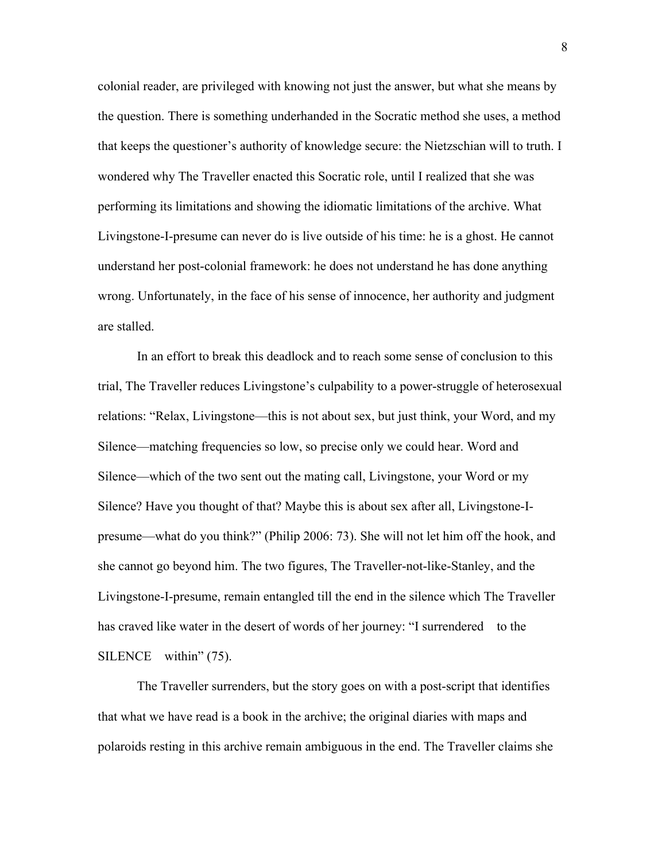colonial reader, are privileged with knowing not just the answer, but what she means by the question. There is something underhanded in the Socratic method she uses, a method that keeps the questioner's authority of knowledge secure: the Nietzschian will to truth. I wondered why The Traveller enacted this Socratic role, until I realized that she was performing its limitations and showing the idiomatic limitations of the archive. What Livingstone-I-presume can never do is live outside of his time: he is a ghost. He cannot understand her post-colonial framework: he does not understand he has done anything wrong. Unfortunately, in the face of his sense of innocence, her authority and judgment are stalled.

In an effort to break this deadlock and to reach some sense of conclusion to this trial, The Traveller reduces Livingstone's culpability to a power-struggle of heterosexual relations: "Relax, Livingstone—this is not about sex, but just think, your Word, and my Silence—matching frequencies so low, so precise only we could hear. Word and Silence—which of the two sent out the mating call, Livingstone, your Word or my Silence? Have you thought of that? Maybe this is about sex after all, Livingstone-Ipresume—what do you think?" (Philip 2006: 73). She will not let him off the hook, and she cannot go beyond him. The two figures, The Traveller-not-like-Stanley, and the Livingstone-I-presume, remain entangled till the end in the silence which The Traveller has craved like water in the desert of words of her journey: "I surrendered to the SILENCE within" (75).

The Traveller surrenders, but the story goes on with a post-script that identifies that what we have read is a book in the archive; the original diaries with maps and polaroids resting in this archive remain ambiguous in the end. The Traveller claims she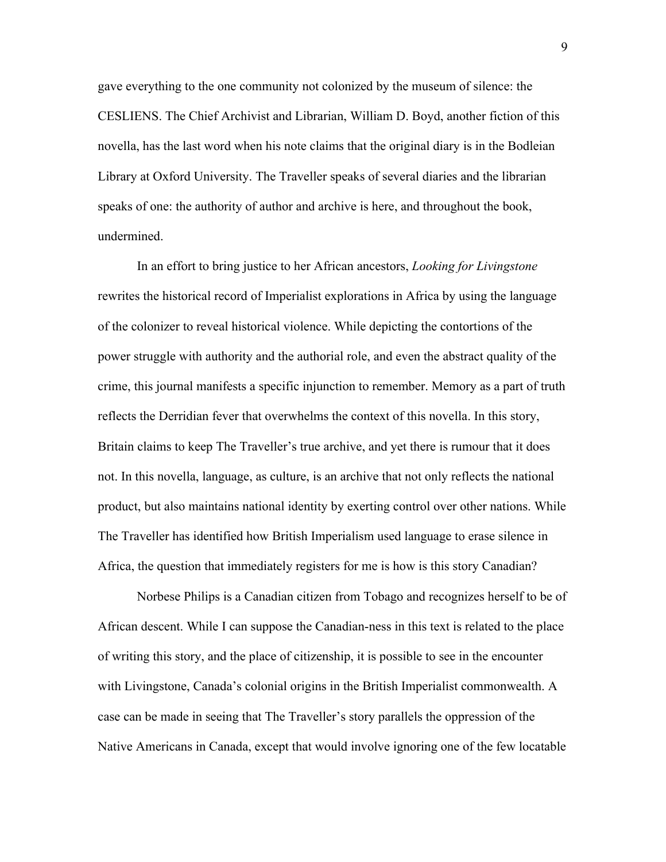gave everything to the one community not colonized by the museum of silence: the CESLIENS. The Chief Archivist and Librarian, William D. Boyd, another fiction of this novella, has the last word when his note claims that the original diary is in the Bodleian Library at Oxford University. The Traveller speaks of several diaries and the librarian speaks of one: the authority of author and archive is here, and throughout the book, undermined.

In an effort to bring justice to her African ancestors, *Looking for Livingstone* rewrites the historical record of Imperialist explorations in Africa by using the language of the colonizer to reveal historical violence. While depicting the contortions of the power struggle with authority and the authorial role, and even the abstract quality of the crime, this journal manifests a specific injunction to remember. Memory as a part of truth reflects the Derridian fever that overwhelms the context of this novella. In this story, Britain claims to keep The Traveller's true archive, and yet there is rumour that it does not. In this novella, language, as culture, is an archive that not only reflects the national product, but also maintains national identity by exerting control over other nations. While The Traveller has identified how British Imperialism used language to erase silence in Africa, the question that immediately registers for me is how is this story Canadian?

Norbese Philips is a Canadian citizen from Tobago and recognizes herself to be of African descent. While I can suppose the Canadian-ness in this text is related to the place of writing this story, and the place of citizenship, it is possible to see in the encounter with Livingstone, Canada's colonial origins in the British Imperialist commonwealth. A case can be made in seeing that The Traveller's story parallels the oppression of the Native Americans in Canada, except that would involve ignoring one of the few locatable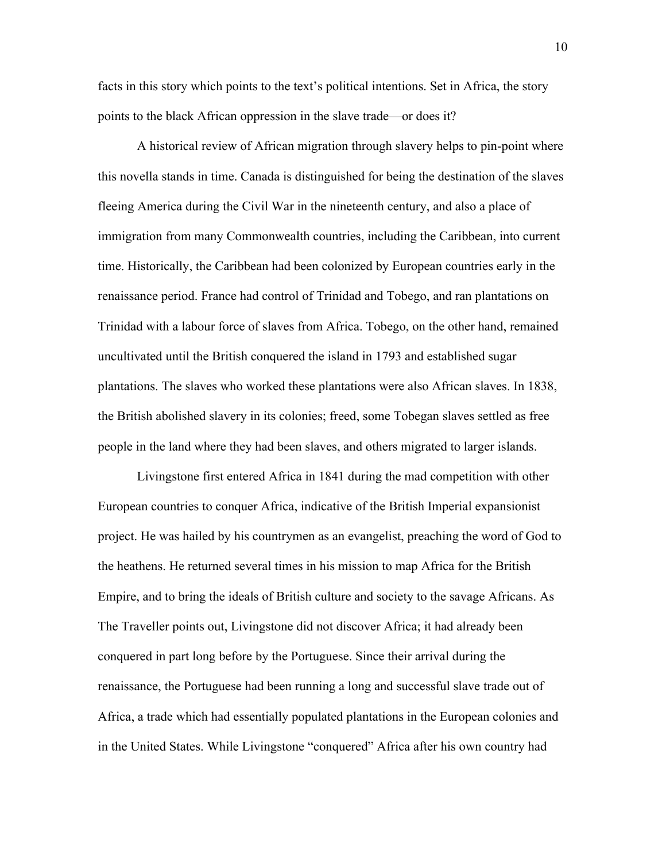facts in this story which points to the text's political intentions. Set in Africa, the story points to the black African oppression in the slave trade—or does it?

A historical review of African migration through slavery helps to pin-point where this novella stands in time. Canada is distinguished for being the destination of the slaves fleeing America during the Civil War in the nineteenth century, and also a place of immigration from many Commonwealth countries, including the Caribbean, into current time. Historically, the Caribbean had been colonized by European countries early in the renaissance period. France had control of Trinidad and Tobego, and ran plantations on Trinidad with a labour force of slaves from Africa. Tobego, on the other hand, remained uncultivated until the British conquered the island in 1793 and established sugar plantations. The slaves who worked these plantations were also African slaves. In 1838, the British abolished slavery in its colonies; freed, some Tobegan slaves settled as free people in the land where they had been slaves, and others migrated to larger islands.

Livingstone first entered Africa in 1841 during the mad competition with other European countries to conquer Africa, indicative of the British Imperial expansionist project. He was hailed by his countrymen as an evangelist, preaching the word of God to the heathens. He returned several times in his mission to map Africa for the British Empire, and to bring the ideals of British culture and society to the savage Africans. As The Traveller points out, Livingstone did not discover Africa; it had already been conquered in part long before by the Portuguese. Since their arrival during the renaissance, the Portuguese had been running a long and successful slave trade out of Africa, a trade which had essentially populated plantations in the European colonies and in the United States. While Livingstone "conquered" Africa after his own country had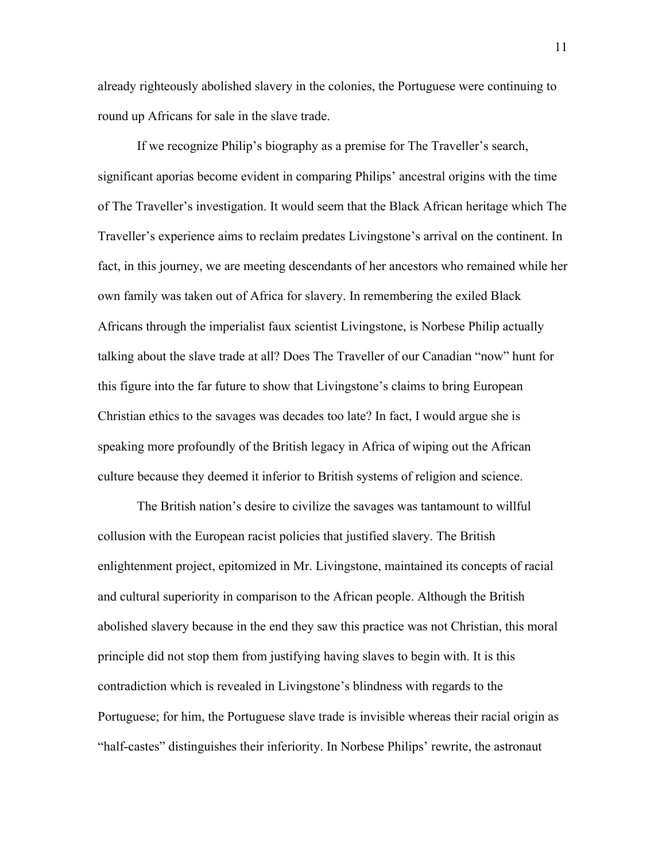already righteously abolished slavery in the colonies, the Portuguese were continuing to round up Africans for sale in the slave trade.

If we recognize Philip's biography as a premise for The Traveller's search, significant aporias become evident in comparing Philips' ancestral origins with the time of The Traveller's investigation. It would seem that the Black African heritage which The Traveller's experience aims to reclaim predates Livingstone's arrival on the continent. In fact, in this journey, we are meeting descendants of her ancestors who remained while her own family was taken out of Africa for slavery. In remembering the exiled Black Africans through the imperialist faux scientist Livingstone, is Norbese Philip actually talking about the slave trade at all? Does The Traveller of our Canadian "now" hunt for this figure into the far future to show that Livingstone's claims to bring European Christian ethics to the savages was decades too late? In fact, I would argue she is speaking more profoundly of the British legacy in Africa of wiping out the African culture because they deemed it inferior to British systems of religion and science.

The British nation's desire to civilize the savages was tantamount to willful collusion with the European racist policies that justified slavery. The British enlightenment project, epitomized in Mr. Livingstone, maintained its concepts of racial and cultural superiority in comparison to the African people. Although the British abolished slavery because in the end they saw this practice was not Christian, this moral principle did not stop them from justifying having slaves to begin with. It is this contradiction which is revealed in Livingstone's blindness with regards to the Portuguese; for him, the Portuguese slave trade is invisible whereas their racial origin as "half-castes" distinguishes their inferiority. In Norbese Philips' rewrite, the astronaut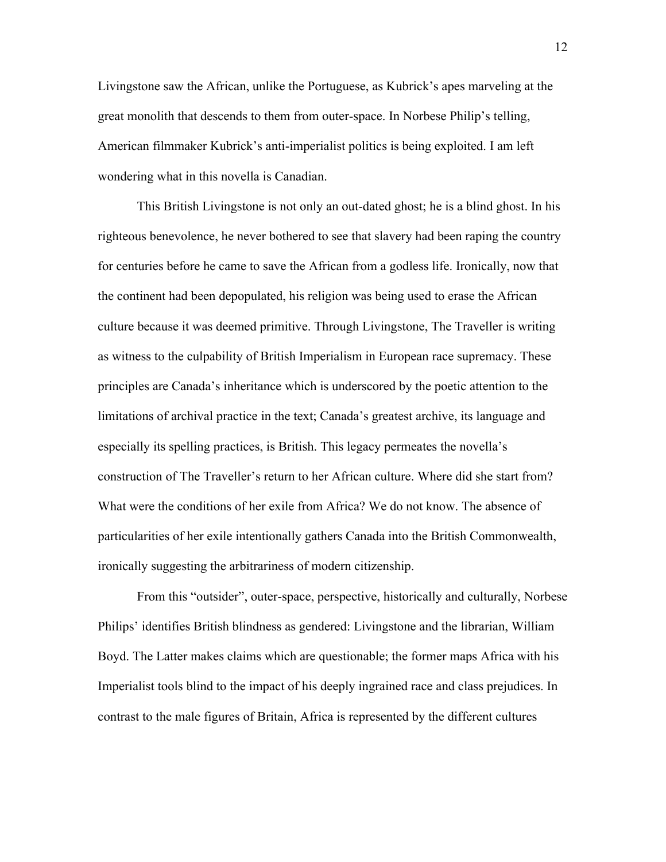Livingstone saw the African, unlike the Portuguese, as Kubrick's apes marveling at the great monolith that descends to them from outer-space. In Norbese Philip's telling, American filmmaker Kubrick's anti-imperialist politics is being exploited. I am left wondering what in this novella is Canadian.

This British Livingstone is not only an out-dated ghost; he is a blind ghost. In his righteous benevolence, he never bothered to see that slavery had been raping the country for centuries before he came to save the African from a godless life. Ironically, now that the continent had been depopulated, his religion was being used to erase the African culture because it was deemed primitive. Through Livingstone, The Traveller is writing as witness to the culpability of British Imperialism in European race supremacy. These principles are Canada's inheritance which is underscored by the poetic attention to the limitations of archival practice in the text; Canada's greatest archive, its language and especially its spelling practices, is British. This legacy permeates the novella's construction of The Traveller's return to her African culture. Where did she start from? What were the conditions of her exile from Africa? We do not know. The absence of particularities of her exile intentionally gathers Canada into the British Commonwealth, ironically suggesting the arbitrariness of modern citizenship.

From this "outsider", outer-space, perspective, historically and culturally, Norbese Philips' identifies British blindness as gendered: Livingstone and the librarian, William Boyd. The Latter makes claims which are questionable; the former maps Africa with his Imperialist tools blind to the impact of his deeply ingrained race and class prejudices. In contrast to the male figures of Britain, Africa is represented by the different cultures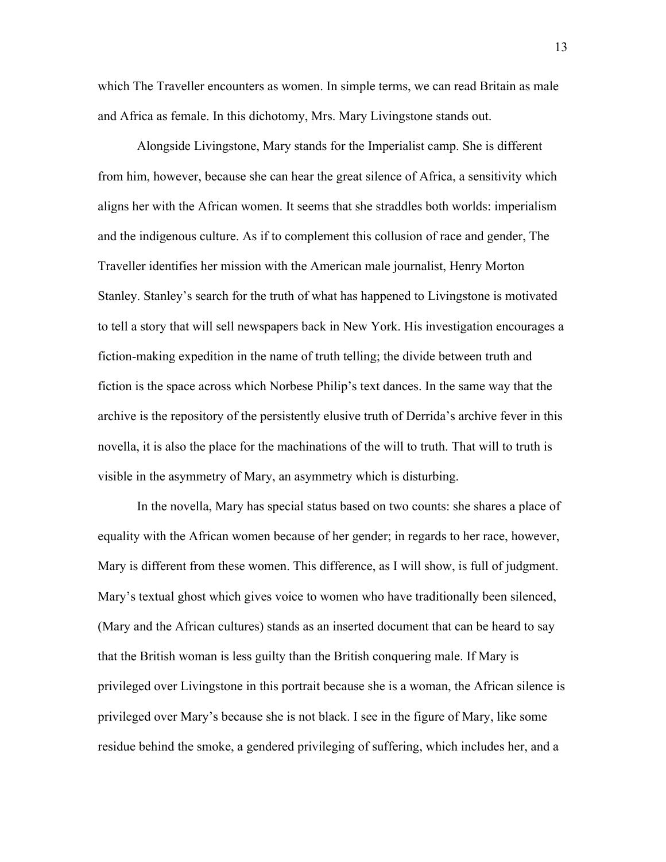which The Traveller encounters as women. In simple terms, we can read Britain as male and Africa as female. In this dichotomy, Mrs. Mary Livingstone stands out.

Alongside Livingstone, Mary stands for the Imperialist camp. She is different from him, however, because she can hear the great silence of Africa, a sensitivity which aligns her with the African women. It seems that she straddles both worlds: imperialism and the indigenous culture. As if to complement this collusion of race and gender, The Traveller identifies her mission with the American male journalist, Henry Morton Stanley. Stanley's search for the truth of what has happened to Livingstone is motivated to tell a story that will sell newspapers back in New York. His investigation encourages a fiction-making expedition in the name of truth telling; the divide between truth and fiction is the space across which Norbese Philip's text dances. In the same way that the archive is the repository of the persistently elusive truth of Derrida's archive fever in this novella, it is also the place for the machinations of the will to truth. That will to truth is visible in the asymmetry of Mary, an asymmetry which is disturbing.

In the novella, Mary has special status based on two counts: she shares a place of equality with the African women because of her gender; in regards to her race, however, Mary is different from these women. This difference, as I will show, is full of judgment. Mary's textual ghost which gives voice to women who have traditionally been silenced, (Mary and the African cultures) stands as an inserted document that can be heard to say that the British woman is less guilty than the British conquering male. If Mary is privileged over Livingstone in this portrait because she is a woman, the African silence is privileged over Mary's because she is not black. I see in the figure of Mary, like some residue behind the smoke, a gendered privileging of suffering, which includes her, and a

13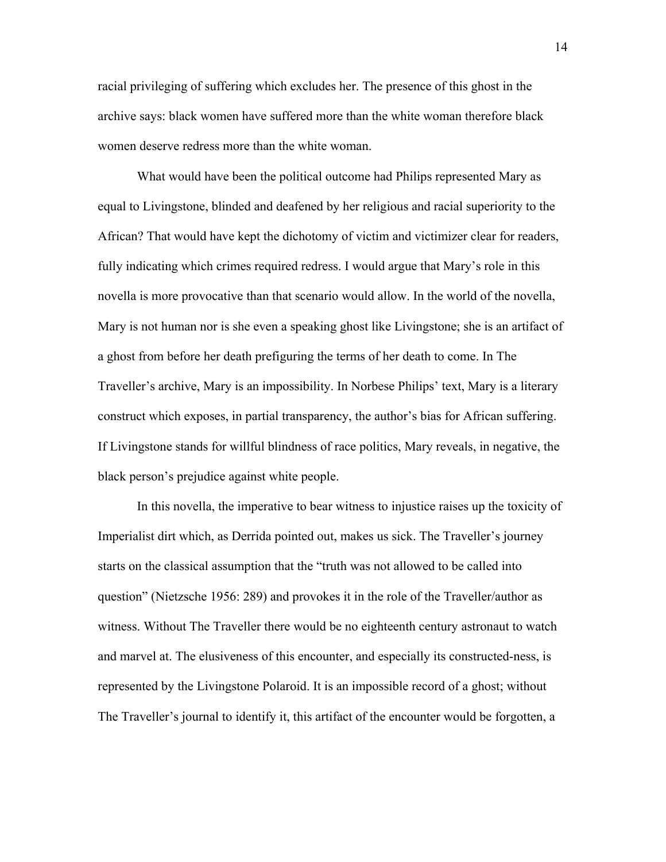racial privileging of suffering which excludes her. The presence of this ghost in the archive says: black women have suffered more than the white woman therefore black women deserve redress more than the white woman.

What would have been the political outcome had Philips represented Mary as equal to Livingstone, blinded and deafened by her religious and racial superiority to the African? That would have kept the dichotomy of victim and victimizer clear for readers, fully indicating which crimes required redress. I would argue that Mary's role in this novella is more provocative than that scenario would allow. In the world of the novella, Mary is not human nor is she even a speaking ghost like Livingstone; she is an artifact of a ghost from before her death prefiguring the terms of her death to come. In The Traveller's archive, Mary is an impossibility. In Norbese Philips' text, Mary is a literary construct which exposes, in partial transparency, the author's bias for African suffering. If Livingstone stands for willful blindness of race politics, Mary reveals, in negative, the black person's prejudice against white people.

In this novella, the imperative to bear witness to injustice raises up the toxicity of Imperialist dirt which, as Derrida pointed out, makes us sick. The Traveller's journey starts on the classical assumption that the "truth was not allowed to be called into question" (Nietzsche 1956: 289) and provokes it in the role of the Traveller/author as witness. Without The Traveller there would be no eighteenth century astronaut to watch and marvel at. The elusiveness of this encounter, and especially its constructed-ness, is represented by the Livingstone Polaroid. It is an impossible record of a ghost; without The Traveller's journal to identify it, this artifact of the encounter would be forgotten, a

14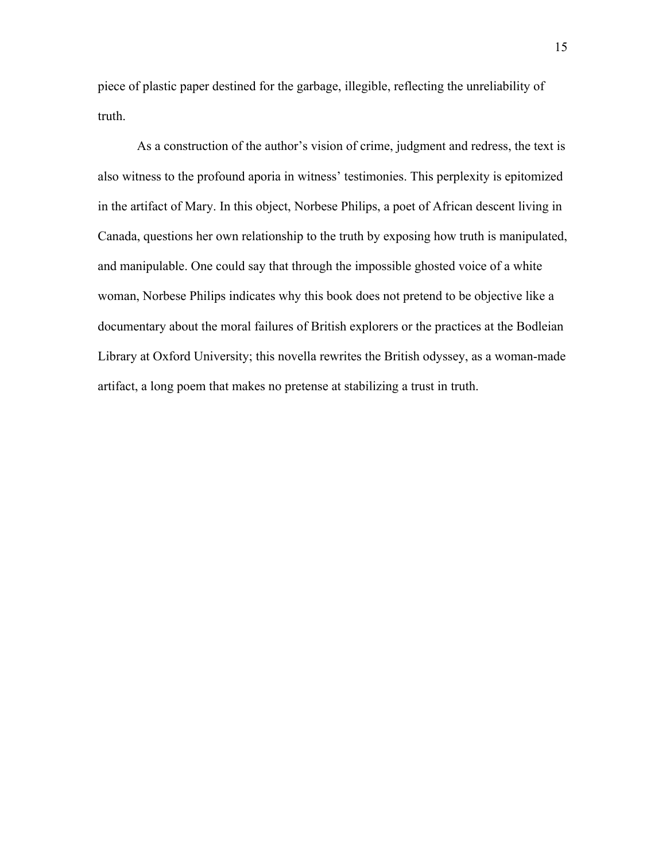piece of plastic paper destined for the garbage, illegible, reflecting the unreliability of truth.

As a construction of the author's vision of crime, judgment and redress, the text is also witness to the profound aporia in witness' testimonies. This perplexity is epitomized in the artifact of Mary. In this object, Norbese Philips, a poet of African descent living in Canada, questions her own relationship to the truth by exposing how truth is manipulated, and manipulable. One could say that through the impossible ghosted voice of a white woman, Norbese Philips indicates why this book does not pretend to be objective like a documentary about the moral failures of British explorers or the practices at the Bodleian Library at Oxford University; this novella rewrites the British odyssey, as a woman-made artifact, a long poem that makes no pretense at stabilizing a trust in truth.